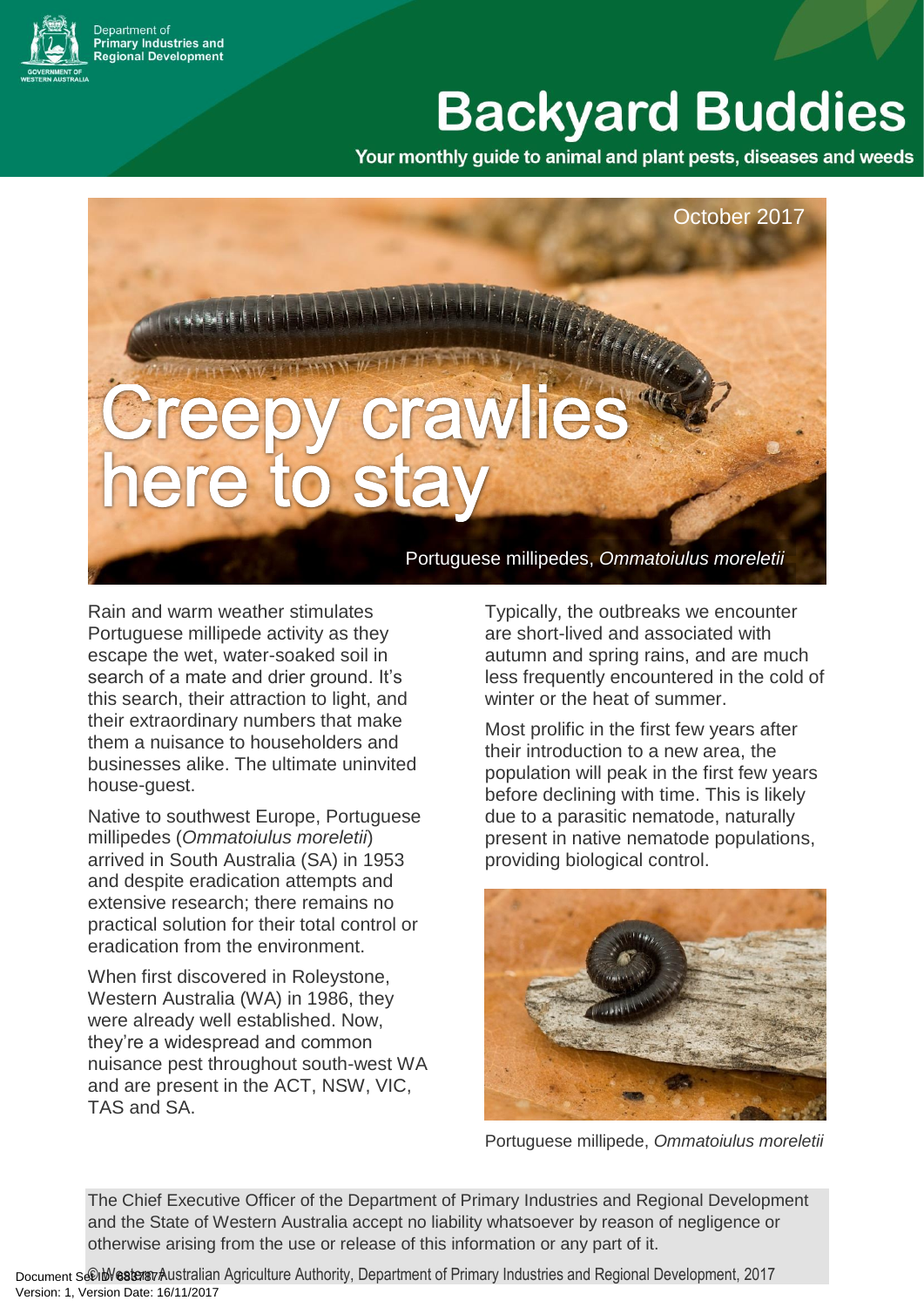epartment of repartment or<br>'rimary Industries and<br>!egional Development

# **Backyard Buddies**

Your monthly guide to animal and plant pests, diseases and weeds

October 2017 Portuguese millipedes, *Ommatoiulus moreletii*

Rain and warm weather stimulates Portuguese millipede activity as they escape the wet, water-soaked soil in search of a mate and drier ground. It's this search, their attraction to light, and their extraordinary numbers that make them a nuisance to householders and businesses alike. The ultimate uninvited house-guest.

Native to southwest Europe, Portuguese millipedes (*Ommatoiulus moreletii*) arrived in South Australia (SA) in 1953 and despite eradication attempts and extensive research; there remains no practical solution for their total control or eradication from the environment.

When first discovered in Roleystone, Western Australia (WA) in 1986, they were already well established. Now, they're a widespread and common nuisance pest throughout south-west WA and are present in the ACT, NSW, VIC, TAS and SA.

Typically, the outbreaks we encounter are short-lived and associated with autumn and spring rains, and are much less frequently encountered in the cold of winter or the heat of summer.

Most prolific in the first few years after their introduction to a new area, the population will peak in the first few years before declining with time. This is likely due to a parasitic nematode, naturally present in native nematode populations, providing biological control.



Portuguese millipede, *Ommatoiulus moreletii*

The Chief Executive Officer of the Department of Primary Industries and Regional Development and the State of Western Australia accept no liability whatsoever by reason of negligence or otherwise arising from the use or release of this information or any part of it.

Document Sellb Westerst Australian Agriculture Authority, Department of Primary Industries and Regional Development, 2017 Version: 1, Version Date: 16/11/2017